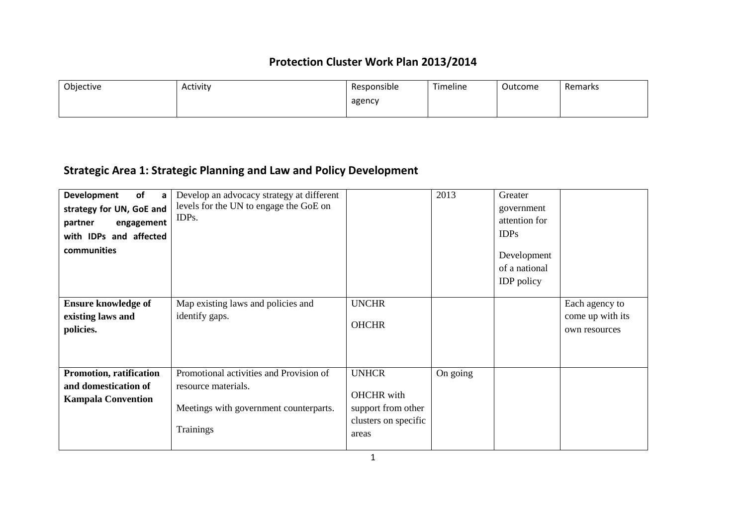| Objective | Activity | Responsible | Timeline | Outcome | Remarks |
|-----------|----------|-------------|----------|---------|---------|
|           |          | agency      |          |         |         |
|           |          |             |          |         |         |

# **Strategic Area 1: Strategic Planning and Law and Policy Development**

| of<br><b>Development</b><br>a<br>strategy for UN, GoE and<br>partner<br>engagement<br>with IDPs and affected<br>communities | Develop an advocacy strategy at different<br>levels for the UN to engage the GoE on<br>IDP <sub>s</sub> .             |                                                                                          | 2013     | Greater<br>government<br>attention for<br>IDPs<br>Development<br>of a national<br><b>IDP</b> policy |                                                     |
|-----------------------------------------------------------------------------------------------------------------------------|-----------------------------------------------------------------------------------------------------------------------|------------------------------------------------------------------------------------------|----------|-----------------------------------------------------------------------------------------------------|-----------------------------------------------------|
| <b>Ensure knowledge of</b><br>existing laws and<br>policies.                                                                | Map existing laws and policies and<br>identify gaps.                                                                  | <b>UNCHR</b><br><b>OHCHR</b>                                                             |          |                                                                                                     | Each agency to<br>come up with its<br>own resources |
| Promotion, ratification<br>and domestication of<br><b>Kampala Convention</b>                                                | Promotional activities and Provision of<br>resource materials.<br>Meetings with government counterparts.<br>Trainings | <b>UNHCR</b><br><b>OHCHR</b> with<br>support from other<br>clusters on specific<br>areas | On going |                                                                                                     |                                                     |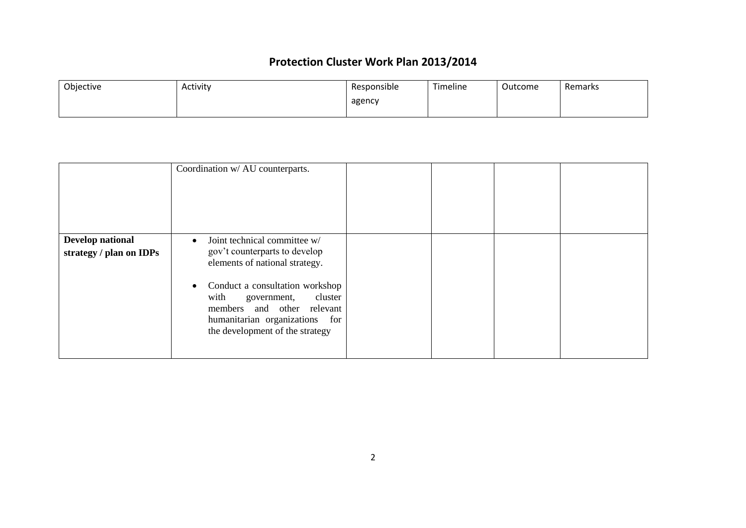| Objective | Activity | Responsible | Timeline | Outcome | Remarks |
|-----------|----------|-------------|----------|---------|---------|
|           |          | agency      |          |         |         |
|           |          |             |          |         |         |

|                                             | Coordination w/ AU counterparts.                                                                                                                                                                                                                                                                  |  |  |
|---------------------------------------------|---------------------------------------------------------------------------------------------------------------------------------------------------------------------------------------------------------------------------------------------------------------------------------------------------|--|--|
| Develop national<br>strategy / plan on IDPs | Joint technical committee w/<br>$\bullet$<br>gov't counterparts to develop<br>elements of national strategy.<br>Conduct a consultation workshop<br>$\bullet$<br>with<br>cluster<br>government,<br>members and other relevant<br>humanitarian organizations for<br>the development of the strategy |  |  |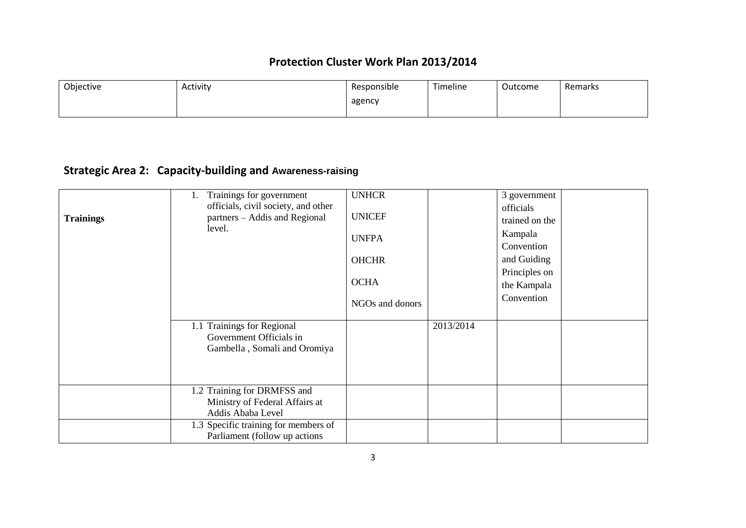| Objective | Activity | Responsible | Timeline | Outcome | Remarks |
|-----------|----------|-------------|----------|---------|---------|
|           |          | agency      |          |         |         |
|           |          |             |          |         |         |

# **Strategic Area 2: Capacity-building and Awareness-raising**

| <b>Trainings</b> | Trainings for government<br>l.<br>officials, civil society, and other<br>partners – Addis and Regional<br>level. | <b>UNHCR</b><br><b>UNICEF</b><br><b>UNFPA</b><br><b>OHCHR</b><br><b>OCHA</b><br>NGOs and donors |           | 3 government<br>officials<br>trained on the<br>Kampala<br>Convention<br>and Guiding<br>Principles on<br>the Kampala<br>Convention |  |
|------------------|------------------------------------------------------------------------------------------------------------------|-------------------------------------------------------------------------------------------------|-----------|-----------------------------------------------------------------------------------------------------------------------------------|--|
|                  | 1.1 Trainings for Regional<br>Government Officials in<br>Gambella, Somali and Oromiya                            |                                                                                                 | 2013/2014 |                                                                                                                                   |  |
|                  | 1.2 Training for DRMFSS and<br>Ministry of Federal Affairs at<br>Addis Ababa Level                               |                                                                                                 |           |                                                                                                                                   |  |
|                  | 1.3 Specific training for members of<br>Parliament (follow up actions)                                           |                                                                                                 |           |                                                                                                                                   |  |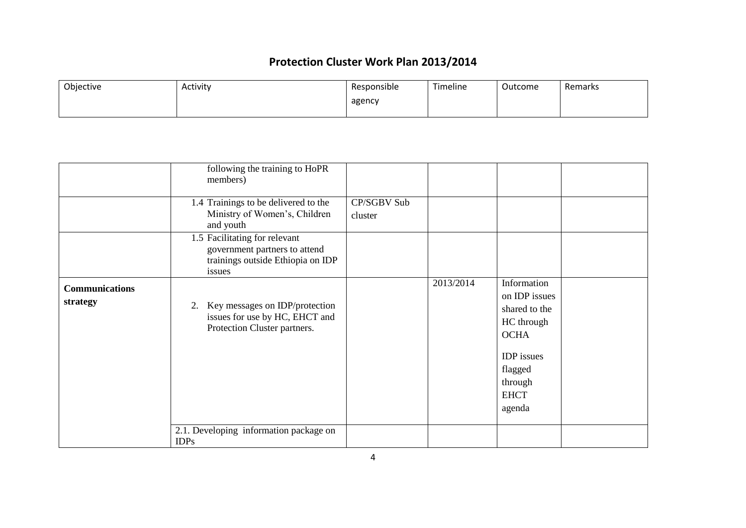| Objective | Activity | Responsible | Timeline | Outcome | Remarks |
|-----------|----------|-------------|----------|---------|---------|
|           |          | agency      |          |         |         |

|                                   | following the training to HoPR<br>members)<br>1.4 Trainings to be delivered to the<br>Ministry of Women's, Children        | CP/SGBV Sub<br>cluster |           |                                                                                                                                                |
|-----------------------------------|----------------------------------------------------------------------------------------------------------------------------|------------------------|-----------|------------------------------------------------------------------------------------------------------------------------------------------------|
|                                   | and youth<br>1.5 Facilitating for relevant<br>government partners to attend<br>trainings outside Ethiopia on IDP<br>issues |                        |           |                                                                                                                                                |
| <b>Communications</b><br>strategy | 2. Key messages on IDP/protection<br>issues for use by HC, EHCT and<br>Protection Cluster partners.                        |                        | 2013/2014 | Information<br>on IDP issues<br>shared to the<br>HC through<br><b>OCHA</b><br><b>IDP</b> issues<br>flagged<br>through<br><b>EHCT</b><br>agenda |
|                                   | 2.1. Developing information package on<br><b>IDPs</b>                                                                      |                        |           |                                                                                                                                                |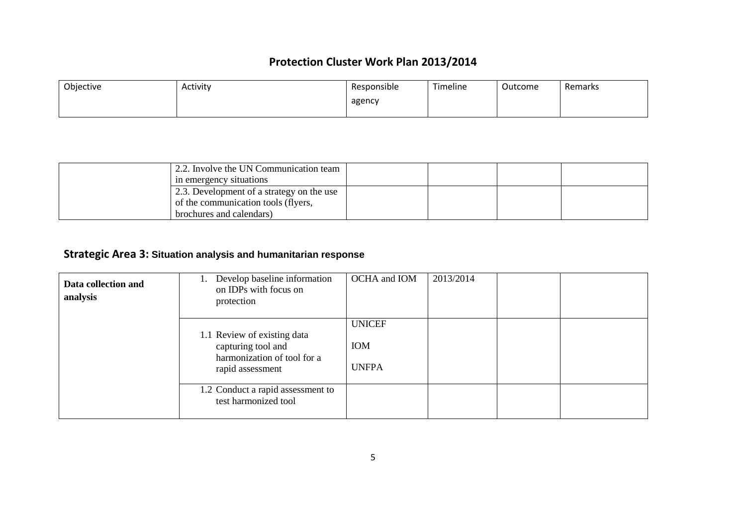| Objective | Activity | Responsible | Timeline | Outcome | Remarks |
|-----------|----------|-------------|----------|---------|---------|
|           |          | agency      |          |         |         |
|           |          |             |          |         |         |

| 2.2. Involve the UN Communication team    |  |  |
|-------------------------------------------|--|--|
| in emergency situations                   |  |  |
| 2.3. Development of a strategy on the use |  |  |
| of the communication tools (flyers,       |  |  |
| brochures and calendars)                  |  |  |

## **Strategic Area 3: Situation analysis and humanitarian response**

| Data collection and<br>analysis | Develop baseline information<br>on IDPs with focus on<br>protection                                  | OCHA and IOM                         | 2013/2014 |  |
|---------------------------------|------------------------------------------------------------------------------------------------------|--------------------------------------|-----------|--|
|                                 | 1.1 Review of existing data<br>capturing tool and<br>harmonization of tool for a<br>rapid assessment | <b>UNICEF</b><br>IOM<br><b>UNFPA</b> |           |  |
|                                 | 1.2 Conduct a rapid assessment to<br>test harmonized tool                                            |                                      |           |  |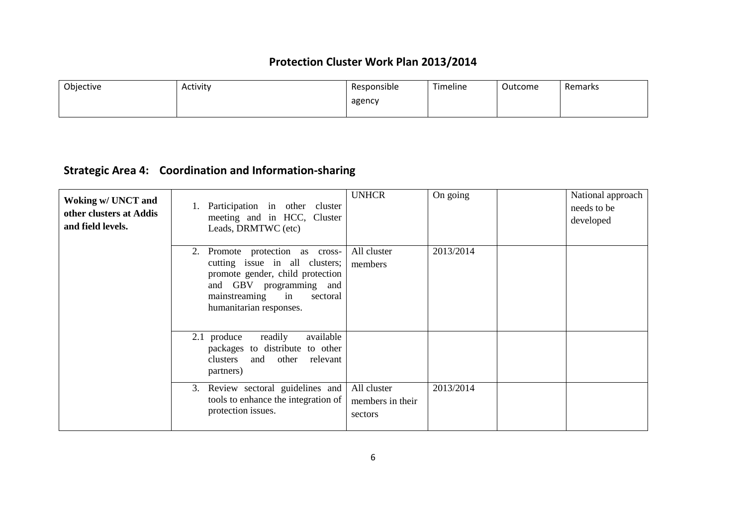| Objective | Activity | Responsible | Timeline | Outcome | Remarks |
|-----------|----------|-------------|----------|---------|---------|
|           |          | agency      |          |         |         |
|           |          |             |          |         |         |

# **Strategic Area 4: Coordination and Information-sharing**

| Woking w/ UNCT and<br>other clusters at Addis<br>and field levels. | Participation in other cluster<br>meeting and in HCC, Cluster<br>Leads, DRMTWC (etc)                                                                                                           | <b>UNHCR</b>                               | On going  | National approach<br>needs to be<br>developed |
|--------------------------------------------------------------------|------------------------------------------------------------------------------------------------------------------------------------------------------------------------------------------------|--------------------------------------------|-----------|-----------------------------------------------|
|                                                                    | Promote protection as cross-<br>2.<br>cutting issue in all clusters;<br>promote gender, child protection<br>and GBV programming and<br>mainstreaming in<br>sectoral<br>humanitarian responses. | All cluster<br>members                     | 2013/2014 |                                               |
|                                                                    | 2.1 produce<br>readily<br>available<br>packages to distribute to other<br>clusters<br>and other<br>relevant<br>partners)                                                                       |                                            |           |                                               |
|                                                                    | Review sectoral guidelines and<br>3.<br>tools to enhance the integration of<br>protection issues.                                                                                              | All cluster<br>members in their<br>sectors | 2013/2014 |                                               |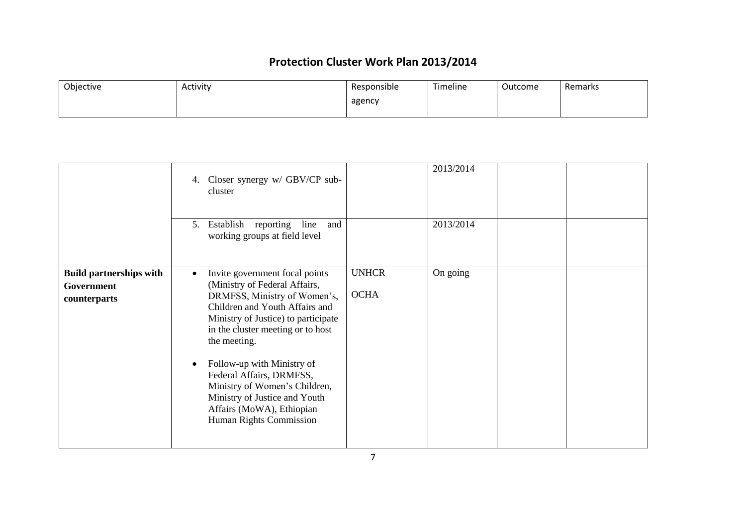| Objective | Activity | Responsible | Timeline | Outcome | Remarks |
|-----------|----------|-------------|----------|---------|---------|
|           |          | agency      |          |         |         |
|           |          |             |          |         |         |

|                                                                     | 4. Closer synergy w/ GBV/CP sub-<br>cluster<br>reporting<br>line<br>5. Establish<br>and<br>working groups at field level                                                                                                                                                                                                                                                                                                                    |                             | 2013/2014<br>2013/2014 |  |
|---------------------------------------------------------------------|---------------------------------------------------------------------------------------------------------------------------------------------------------------------------------------------------------------------------------------------------------------------------------------------------------------------------------------------------------------------------------------------------------------------------------------------|-----------------------------|------------------------|--|
| <b>Build partnerships with</b><br><b>Government</b><br>counterparts | Invite government focal points<br>$\bullet$<br>(Ministry of Federal Affairs,<br>DRMFSS, Ministry of Women's,<br>Children and Youth Affairs and<br>Ministry of Justice) to participate<br>in the cluster meeting or to host<br>the meeting.<br>Follow-up with Ministry of<br>$\bullet$<br>Federal Affairs, DRMFSS,<br>Ministry of Women's Children,<br>Ministry of Justice and Youth<br>Affairs (MoWA), Ethiopian<br>Human Rights Commission | <b>UNHCR</b><br><b>OCHA</b> | On going               |  |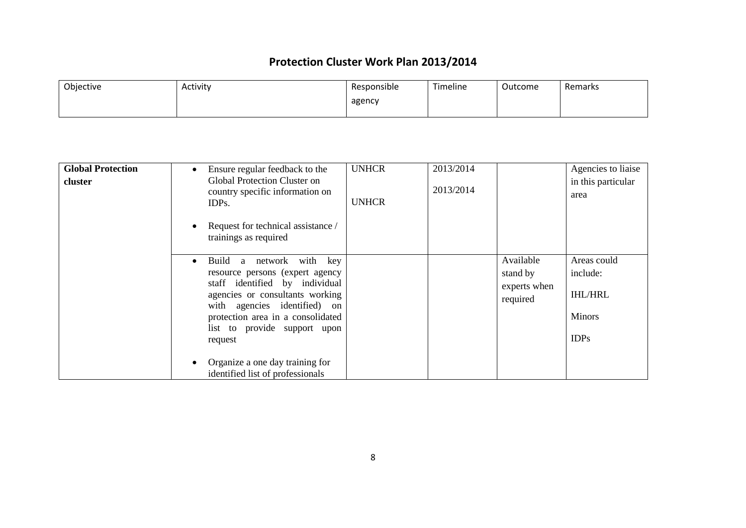| Objective | Activity | Responsible | Timeline | Outcome | Remarks |
|-----------|----------|-------------|----------|---------|---------|
|           |          | agency      |          |         |         |
|           |          |             |          |         |         |

| <b>Global Protection</b><br>cluster | Ensure regular feedback to the<br><b>Global Protection Cluster on</b><br>country specific information on<br>IDP <sub>s</sub> .<br>Request for technical assistance /<br>trainings as required                                                                       | <b>UNHCR</b><br><b>UNHCR</b> | 2013/2014<br>2013/2014 |                                                   | Agencies to liaise<br>in this particular<br>area                          |
|-------------------------------------|---------------------------------------------------------------------------------------------------------------------------------------------------------------------------------------------------------------------------------------------------------------------|------------------------------|------------------------|---------------------------------------------------|---------------------------------------------------------------------------|
|                                     | network with key<br>Build<br>a<br>$\bullet$<br>resource persons (expert agency<br>staff identified by individual<br>agencies or consultants working<br>with agencies identified) on<br>protection area in a consolidated<br>list to provide support upon<br>request |                              |                        | Available<br>stand by<br>experts when<br>required | Areas could<br>include:<br><b>IHL/HRL</b><br><b>Minors</b><br><b>IDPs</b> |
|                                     | Organize a one day training for<br>identified list of professionals                                                                                                                                                                                                 |                              |                        |                                                   |                                                                           |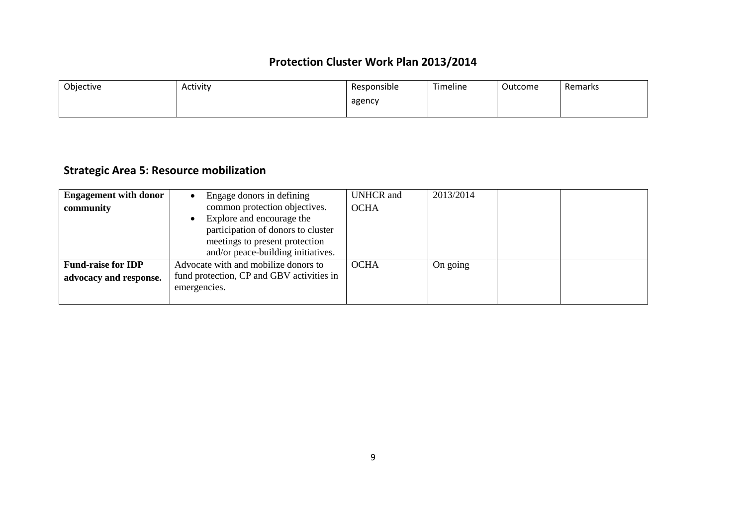| Objective | Activity | Responsible | Timeline | Outcome | Remarks |
|-----------|----------|-------------|----------|---------|---------|
|           |          | agency      |          |         |         |
|           |          |             |          |         |         |

# **Strategic Area 5: Resource mobilization**

| <b>Engagement with donor</b> | Engage donors in defining                                                                                                               | <b>UNHCR</b> and | 2013/2014 |  |
|------------------------------|-----------------------------------------------------------------------------------------------------------------------------------------|------------------|-----------|--|
| community                    | common protection objectives.                                                                                                           | <b>OCHA</b>      |           |  |
|                              | Explore and encourage the<br>participation of donors to cluster<br>meetings to present protection<br>and/or peace-building initiatives. |                  |           |  |
| <b>Fund-raise for IDP</b>    | Advocate with and mobilize donors to                                                                                                    | <b>OCHA</b>      | On going  |  |
| advocacy and response.       | fund protection, CP and GBV activities in                                                                                               |                  |           |  |
|                              | emergencies.                                                                                                                            |                  |           |  |